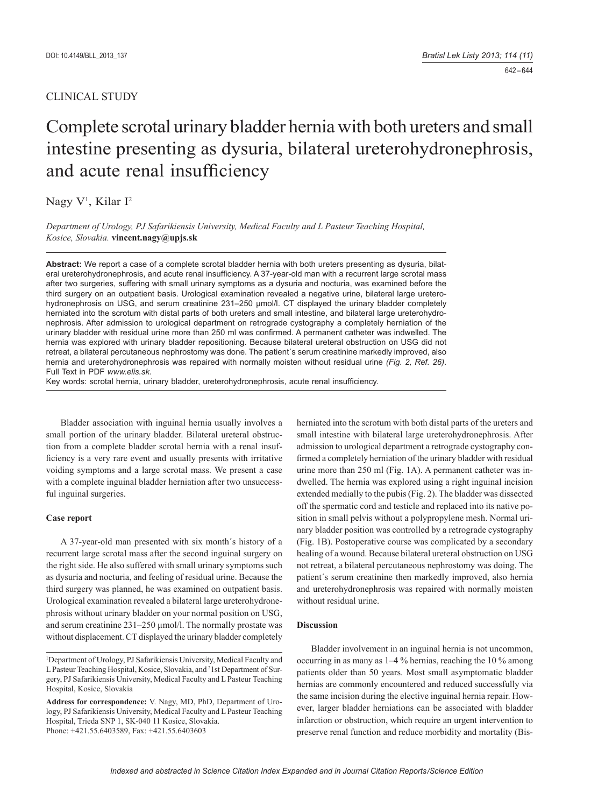# CLINICAL STUDY

# Complete scrotal urinary bladder hernia with both ureters and small intestine presenting as dysuria, bilateral ureterohydronephrosis, and acute renal insufficiency

Nagy V<sup>1</sup>, Kilar I<sup>2</sup>

*Department of Urology, PJ Safarikiensis University, Medical Faculty and L Pasteur Teaching Hospital, Kosice, Slovakia.* **vincent.nagy@upjs.sk** 

**Abstract:** We report a case of a complete scrotal bladder hernia with both ureters presenting as dysuria, bilateral ureterohydronephrosis, and acute renal insufficiency. A 37-year-old man with a recurrent large scrotal mass after two surgeries, suffering with small urinary symptoms as a dysuria and nocturia, was examined before the third surgery on an outpatient basis. Urological examination revealed a negative urine, bilateral large ureterohydronephrosis on USG, and serum creatinine 231–250 μmol/l. CT displayed the urinary bladder completely herniated into the scrotum with distal parts of both ureters and small intestine, and bilateral large ureterohydronephrosis. After admission to urological department on retrograde cystography a completely herniation of the urinary bladder with residual urine more than 250 ml was confirmed. A permanent catheter was indwelled. The hernia was explored with urinary bladder repositioning. Because bilateral ureteral obstruction on USG did not retreat, a bilateral percutaneous nephrostomy was done. The patient´s serum creatinine markedly improved, also hernia and ureterohydronephrosis was repaired with normally moisten without residual urine *(Fig. 2, Ref. 26)*. Full Text in PDF *www.elis.sk.*

Key words: scrotal hernia, urinary bladder, ureterohydronephrosis, acute renal insufficiency.

Bladder association with inguinal hernia usually involves a small portion of the urinary bladder. Bilateral ureteral obstruction from a complete bladder scrotal hernia with a renal insufficiency is a very rare event and usually presents with irritative voiding symptoms and a large scrotal mass. We present a case with a complete inguinal bladder herniation after two unsuccessful inguinal surgeries.

#### **Case report**

A 37-year-old man presented with six month´s history of a recurrent large scrotal mass after the second inguinal surgery on the right side. He also suffered with small urinary symptoms such as dysuria and nocturia, and feeling of residual urine. Because the third surgery was planned, he was examined on outpatient basis. Urological examination revealed a bilateral large ureterohydronephrosis without urinary bladder on your normal position on USG, and serum creatinine 231–250 μmol/l. The normally prostate was without displacement. CT displayed the urinary bladder completely herniated into the scrotum with both distal parts of the ureters and small intestine with bilateral large ureterohydronephrosis. After admission to urological department a retrograde cystography confirmed a completely herniation of the urinary bladder with residual urine more than 250 ml (Fig. 1A). A permanent catheter was indwelled. The hernia was explored using a right inguinal incision extended medially to the pubis (Fig. 2). The bladder was dissected off the spermatic cord and testicle and replaced into its native position in small pelvis without a polypropylene mesh. Normal urinary bladder position was controlled by a retrograde cystography (Fig. 1B). Postoperative course was complicated by a secondary healing of a wound. Because bilateral ureteral obstruction on USG not retreat, a bilateral percutaneous nephrostomy was doing. The patient´s serum creatinine then markedly improved, also hernia and ureterohydronephrosis was repaired with normally moisten without residual urine.

## **Discussion**

Bladder involvement in an inguinal hernia is not uncommon, occurring in as many as 1–4 % hernias, reaching the 10 % among patients older than 50 years. Most small asymptomatic bladder hernias are commonly encountered and reduced successfully via the same incision during the elective inguinal hernia repair. However, larger bladder herniations can be associated with bladder infarction or obstruction, which require an urgent intervention to preserve renal function and reduce morbidity and mortality (Bis-

<sup>1</sup> Department of Urology, PJ Safarikiensis University, Medical Faculty and L Pasteur Teaching Hospital, Kosice, Slovakia, and 2 1st Department of Surgery, PJ Safarikiensis University, Medical Faculty and L Pasteur Teaching Hospital, Kosice, Slovakia

**Address for correspondence:** V. Nagy, MD, PhD, Department of Urology, PJ Safarikiensis University, Medical Faculty and L Pasteur Teaching Hospital, Trieda SNP 1, SK-040 11 Kosice, Slovakia. Phone: +421.55.6403589, Fax: +421.55.6403603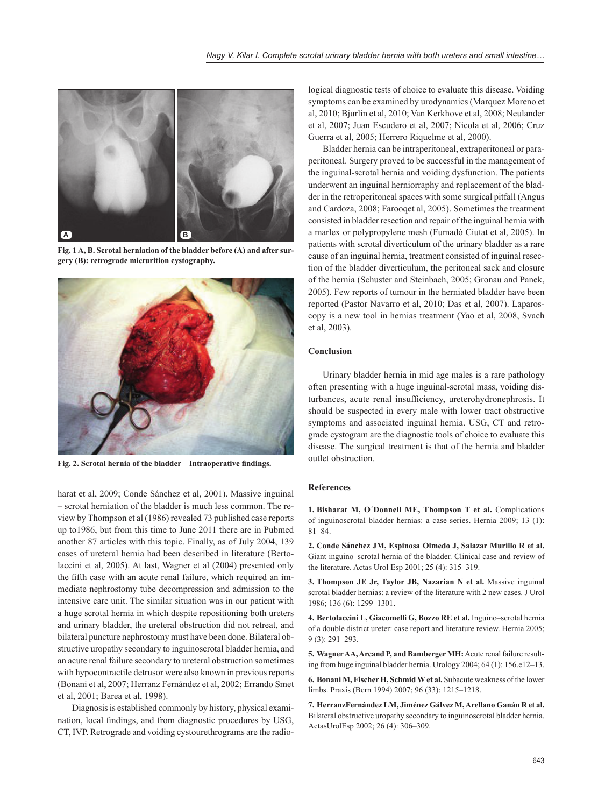

**Fig. 1 A, B. Scrotal herniation of the bladder before (A) and after surgery (B): retrograde micturition cystography.**



Fig. 2. Scrotal hernia of the bladder - Intraoperative findings.

harat et al, 2009; Conde Sánchez et al, 2001). Massive inguinal – scrotal herniation of the bladder is much less common. The review by Thompson et al (1986) revealed 73 published case reports up to1986, but from this time to June 2011 there are in Pubmed another 87 articles with this topic. Finally, as of July 2004, 139 cases of ureteral hernia had been described in literature (Bertolaccini et al, 2005). At last, Wagner et al (2004) presented only the fifth case with an acute renal failure, which required an immediate nephrostomy tube decompression and admission to the intensive care unit. The similar situation was in our patient with a huge scrotal hernia in which despite repositioning both ureters and urinary bladder, the ureteral obstruction did not retreat, and bilateral puncture nephrostomy must have been done. Bilateral obstructive uropathy secondary to inguinoscrotal bladder hernia, and an acute renal failure secondary to ureteral obstruction sometimes with hypocontractile detrusor were also known in previous reports (Bonani et al, 2007; Herranz Fernández et al, 2002; Errando Smet et al, 2001; Barea et al, 1998).

Diagnosis is established commonly by history, physical examination, local findings, and from diagnostic procedures by USG, CT, IVP. Retrograde and voiding cystourethrograms are the radiological diagnostic tests of choice to evaluate this disease. Voiding symptoms can be examined by urodynamics (Marquez Moreno et al, 2010; Bjurlin et al, 2010; Van Kerkhove et al, 2008; Neulander et al, 2007; Juan Escudero et al, 2007; Nicola et al, 2006; Cruz Guerra et al, 2005; Herrero Riquelme et al, 2000).

Bladder hernia can be intraperitoneal, extraperitoneal or paraperitoneal. Surgery proved to be successful in the management of the inguinal-scrotal hernia and voiding dysfunction. The patients underwent an inguinal herniorraphy and replacement of the bladder in the retroperitoneal spaces with some surgical pitfall (Angus and Cardoza, 2008; Farooqet al, 2005). Sometimes the treatment consisted in bladder resection and repair of the inguinal hernia with a marlex or polypropylene mesh (Fumadó Ciutat et al, 2005). In patients with scrotal diverticulum of the urinary bladder as a rare cause of an inguinal hernia, treatment consisted of inguinal resection of the bladder diverticulum, the peritoneal sack and closure of the hernia (Schuster and Steinbach, 2005; Gronau and Panek, 2005). Few reports of tumour in the herniated bladder have been reported (Pastor Navarro et al, 2010; Das et al, 2007). Laparoscopy is a new tool in hernias treatment (Yao et al, 2008, Svach et al, 2003).

### **Conclusion**

Urinary bladder hernia in mid age males is a rare pathology often presenting with a huge inguinal-scrotal mass, voiding disturbances, acute renal insufficiency, ureterohydronephrosis. It should be suspected in every male with lower tract obstructive symptoms and associated inguinal hernia. USG, CT and retrograde cystogram are the diagnostic tools of choice to evaluate this disease. The surgical treatment is that of the hernia and bladder outlet obstruction.

## **References**

**1. Bisharat M, O´Donnell ME, Thompson T et al.** Complications of inguinoscrotal bladder hernias: a case series. Hernia 2009; 13 (1): 81–84.

**2. Conde Sánchez JM, Espinosa Olmedo J, Salazar Murillo R et al.** Giant inguino–scrotal hernia of the bladder. Clinical case and review of the literature. Actas Urol Esp 2001; 25 (4): 315–319.

**3. Thompson JE Jr, Taylor JB, Nazarian N et al.** Massive inguinal scrotal bladder hernias: a review of the literature with 2 new cases. J Urol 1986; 136 (6): 1299–1301.

**4. Bertolaccini L, Giacomelli G, Bozzo RE et al.** Inguino–scrotal hernia of a double district ureter: case report and literature review. Hernia 2005; 9 (3): 291–293.

**5. Wagner AA, Arcand P, and Bamberger MH:** Acute renal failure resulting from huge inguinal bladder hernia. Urology 2004; 64 (1): 156.e12–13.

**6. Bonani M, Fischer H, Schmid W et al.** Subacute weakness of the lower limbs. Praxis (Bern 1994) 2007; 96 (33): 1215–1218.

**7. HerranzFernández LM, Jiménez Gálvez M, Arellano Ganán R et al.** Bilateral obstructive uropathy secondary to inguinoscrotal bladder hernia. ActasUrolEsp 2002; 26 (4): 306–309.